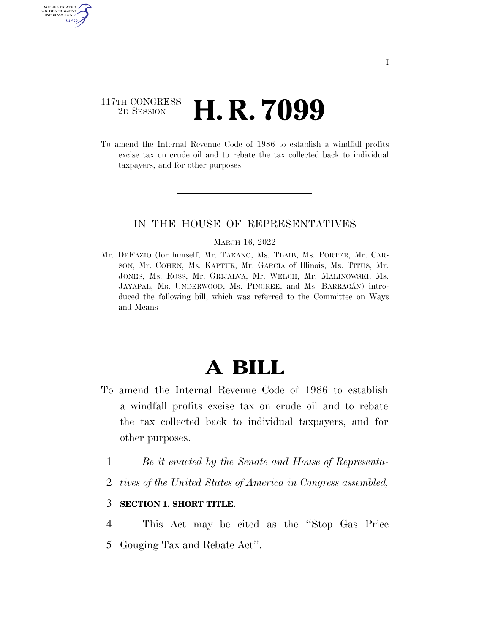### 117TH CONGRESS <sup>2D SESSION</sup> **H. R. 7099**

AUTHENTICATE U.S. GOVERNMENT GPO

> To amend the Internal Revenue Code of 1986 to establish a windfall profits excise tax on crude oil and to rebate the tax collected back to individual taxpayers, and for other purposes.

#### IN THE HOUSE OF REPRESENTATIVES

#### MARCH 16, 2022

Mr. DEFAZIO (for himself, Mr. TAKANO, Ms. TLAIB, Ms. PORTER, Mr. CAR-SON, Mr. COHEN, Ms. KAPTUR, Mr. GARCÍA of Illinois, Ms. TITUS, Mr. JONES, Ms. ROSS, Mr. GRIJALVA, Mr. WELCH, Mr. MALINOWSKI, Ms. JAYAPAL, Ms. UNDERWOOD, Ms. PINGREE, and Ms. BARRAGÁN) introduced the following bill; which was referred to the Committee on Ways and Means

# **A BILL**

- To amend the Internal Revenue Code of 1986 to establish a windfall profits excise tax on crude oil and to rebate the tax collected back to individual taxpayers, and for other purposes.
	- 1 *Be it enacted by the Senate and House of Representa-*
	- 2 *tives of the United States of America in Congress assembled,*

#### 3 **SECTION 1. SHORT TITLE.**

- 4 This Act may be cited as the ''Stop Gas Price
- 5 Gouging Tax and Rebate Act''.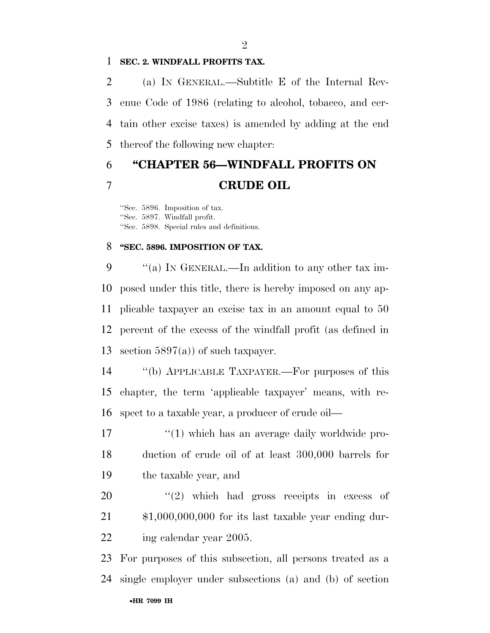#### **SEC. 2. WINDFALL PROFITS TAX.**

 (a) IN GENERAL.—Subtitle E of the Internal Rev- enue Code of 1986 (relating to alcohol, tobacco, and cer- tain other excise taxes) is amended by adding at the end thereof the following new chapter:

## **''CHAPTER 56—WINDFALL PROFITS ON CRUDE OIL**

''Sec. 5896. Imposition of tax. ''Sec. 5897. Windfall profit. ''Sec. 5898. Special rules and definitions.

#### **''SEC. 5896. IMPOSITION OF TAX.**

 $\%$  (a) In GENERAL.—In addition to any other tax im- posed under this title, there is hereby imposed on any ap- plicable taxpayer an excise tax in an amount equal to 50 percent of the excess of the windfall profit (as defined in 13 section  $5897(a)$  of such taxpayer.

 ''(b) APPLICABLE TAXPAYER.—For purposes of this chapter, the term 'applicable taxpayer' means, with re-spect to a taxable year, a producer of crude oil—

17  $\frac{1}{2}$  (1) which has an average daily worldwide pro- duction of crude oil of at least 300,000 barrels for the taxable year, and

  $\qquad$   $\qquad$   $\qquad$   $\qquad$   $\qquad$   $\qquad$   $\qquad$   $\qquad$   $\qquad$   $\qquad$   $\qquad$   $\qquad$   $\qquad$   $\qquad$   $\qquad$   $\qquad$   $\qquad$   $\qquad$   $\qquad$   $\qquad$   $\qquad$   $\qquad$   $\qquad$   $\qquad$   $\qquad$   $\qquad$   $\qquad$   $\qquad$   $\qquad$   $\qquad$   $\qquad$   $\qquad$   $\qquad$   $\qquad$   $\qquad$   $\qquad$  \$1,000,000,000 for its last taxable year ending dur-22 ing calendar year 2005.

•**HR 7099 IH** For purposes of this subsection, all persons treated as a single employer under subsections (a) and (b) of section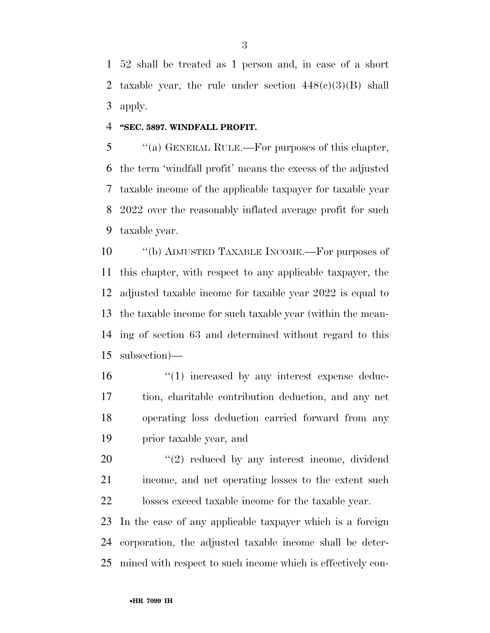52 shall be treated as 1 person and, in case of a short 2 taxable year, the rule under section  $448(c)(3)(B)$  shall apply.

#### **''SEC. 5897. WINDFALL PROFIT.**

 ''(a) GENERAL RULE.—For purposes of this chapter, the term 'windfall profit' means the excess of the adjusted taxable income of the applicable taxpayer for taxable year 2022 over the reasonably inflated average profit for such taxable year.

 ''(b) ADJUSTED TAXABLE INCOME.—For purposes of this chapter, with respect to any applicable taxpayer, the adjusted taxable income for taxable year 2022 is equal to the taxable income for such taxable year (within the mean- ing of section 63 and determined without regard to this subsection)—

 $\frac{16}{10}$  increased by any interest expense deduc- tion, charitable contribution deduction, and any net operating loss deduction carried forward from any prior taxable year, and

 ''(2) reduced by any interest income, dividend income, and net operating losses to the extent such losses exceed taxable income for the taxable year.

 In the case of any applicable taxpayer which is a foreign corporation, the adjusted taxable income shall be deter-mined with respect to such income which is effectively con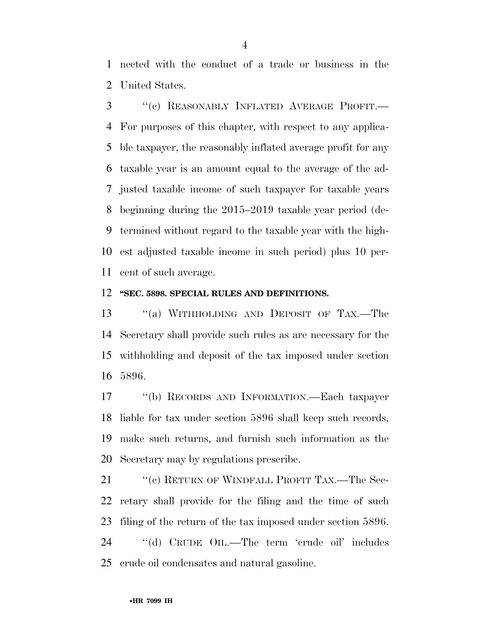nected with the conduct of a trade or business in the United States.

 ''(c) REASONABLY INFLATED AVERAGE PROFIT.— For purposes of this chapter, with respect to any applica- ble taxpayer, the reasonably inflated average profit for any taxable year is an amount equal to the average of the ad- justed taxable income of such taxpayer for taxable years beginning during the 2015–2019 taxable year period (de- termined without regard to the taxable year with the high- est adjusted taxable income in such period) plus 10 per-cent of such average.

#### **''SEC. 5898. SPECIAL RULES AND DEFINITIONS.**

 ''(a) WITHHOLDING AND DEPOSIT OF TAX.—The Secretary shall provide such rules as are necessary for the withholding and deposit of the tax imposed under section 5896.

 ''(b) RECORDS AND INFORMATION.—Each taxpayer liable for tax under section 5896 shall keep such records, make such returns, and furnish such information as the Secretary may by regulations prescribe.

21 "(c) RETURN OF WINDFALL PROFIT TAX.—The Sec- retary shall provide for the filing and the time of such filing of the return of the tax imposed under section 5896. ''(d) CRUDE OIL.—The term 'crude oil' includes

crude oil condensates and natural gasoline.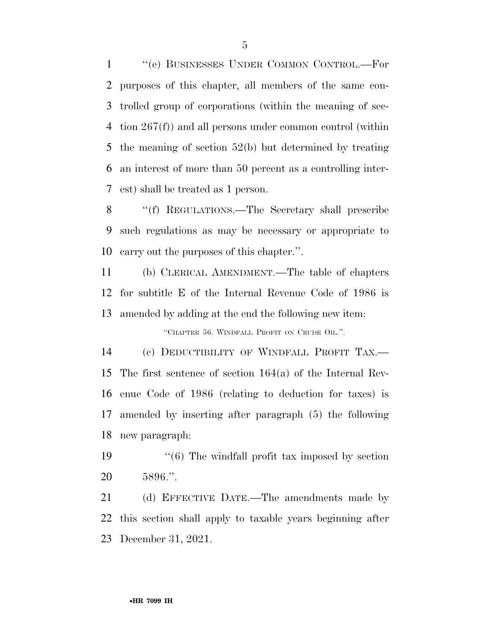''(e) BUSINESSES UNDER COMMON CONTROL.—For purposes of this chapter, all members of the same con- trolled group of corporations (within the meaning of sec- tion 267(f)) and all persons under common control (within the meaning of section 52(b) but determined by treating an interest of more than 50 percent as a controlling inter-est) shall be treated as 1 person.

 ''(f) REGULATIONS.—The Secretary shall prescribe such regulations as may be necessary or appropriate to carry out the purposes of this chapter.''.

 (b) CLERICAL AMENDMENT.—The table of chapters for subtitle E of the Internal Revenue Code of 1986 is amended by adding at the end the following new item:

''CHAPTER 56. WINDFALL PROFIT ON CRUDE OIL.''.

 (c) DEDUCTIBILITY OF WINDFALL PROFIT TAX.— The first sentence of section 164(a) of the Internal Rev- enue Code of 1986 (relating to deduction for taxes) is amended by inserting after paragraph (5) the following new paragraph:

19 ''(6) The windfall profit tax imposed by section 5896.''.

 (d) EFFECTIVE DATE.—The amendments made by this section shall apply to taxable years beginning after December 31, 2021.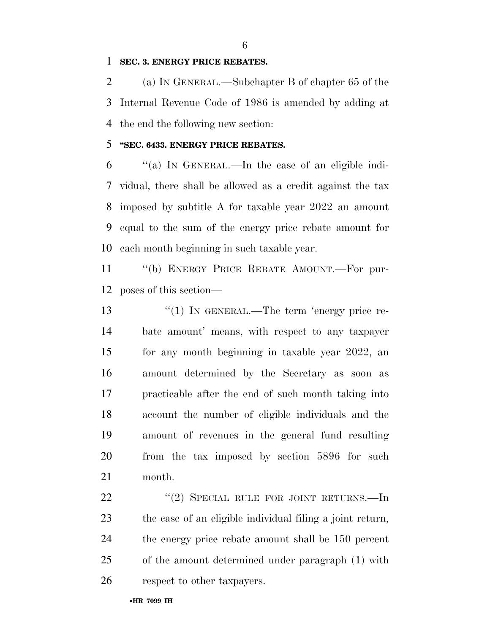#### **SEC. 3. ENERGY PRICE REBATES.**

 (a) IN GENERAL.—Subchapter B of chapter 65 of the Internal Revenue Code of 1986 is amended by adding at the end the following new section:

#### **''SEC. 6433. ENERGY PRICE REBATES.**

 ''(a) IN GENERAL.—In the case of an eligible indi- vidual, there shall be allowed as a credit against the tax imposed by subtitle A for taxable year 2022 an amount equal to the sum of the energy price rebate amount for each month beginning in such taxable year.

 ''(b) ENERGY PRICE REBATE AMOUNT.—For pur-poses of this section—

13 "(1) IN GENERAL.—The term 'energy price re- bate amount' means, with respect to any taxpayer for any month beginning in taxable year 2022, an amount determined by the Secretary as soon as practicable after the end of such month taking into account the number of eligible individuals and the amount of revenues in the general fund resulting from the tax imposed by section 5896 for such month.

22 "(2) SPECIAL RULE FOR JOINT RETURNS.—In the case of an eligible individual filing a joint return, the energy price rebate amount shall be 150 percent of the amount determined under paragraph (1) with respect to other taxpayers.

•**HR 7099 IH**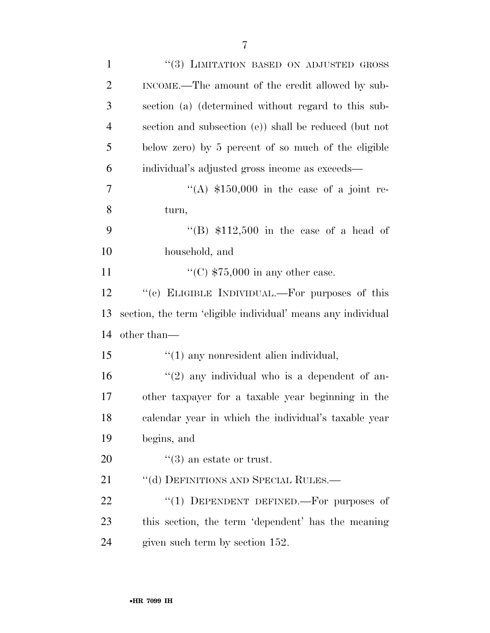| $\mathbf{1}$   | "(3) LIMITATION BASED ON ADJUSTED GROSS                      |
|----------------|--------------------------------------------------------------|
| $\overline{2}$ | INCOME.—The amount of the credit allowed by sub-             |
| 3              | section (a) (determined without regard to this sub-          |
| $\overline{4}$ | section and subsection (e)) shall be reduced (but not        |
| 5              | below zero) by 5 percent of so much of the eligible          |
| 6              | individual's adjusted gross income as exceeds—               |
| 7              | "(A) $$150,000$ in the case of a joint re-                   |
| 8              | turn,                                                        |
| 9              | "(B) $$112,500$ in the case of a head of                     |
| 10             | household, and                                               |
| 11             | "(C) $$75,000$ in any other case.                            |
| 12             | "(c) ELIGIBLE INDIVIDUAL.—For purposes of this               |
| 13             | section, the term 'eligible individual' means any individual |
| 14             | other than—                                                  |
| 15             | $\lq(1)$ any nonresident alien individual,                   |
| 16             | $\lq(2)$ any individual who is a dependent of an-            |
| 17             |                                                              |
|                | other taxpayer for a taxable year beginning in the           |
| 18             | calendar year in which the individual's taxable year         |
| 19             | begins, and                                                  |
| 20             | $\cdot\cdot$ (3) an estate or trust.                         |
| 21             | "(d) DEFINITIONS AND SPECIAL RULES.—                         |
| 22             | "(1) DEPENDENT DEFINED.—For purposes of                      |
| 23             | this section, the term 'dependent' has the meaning           |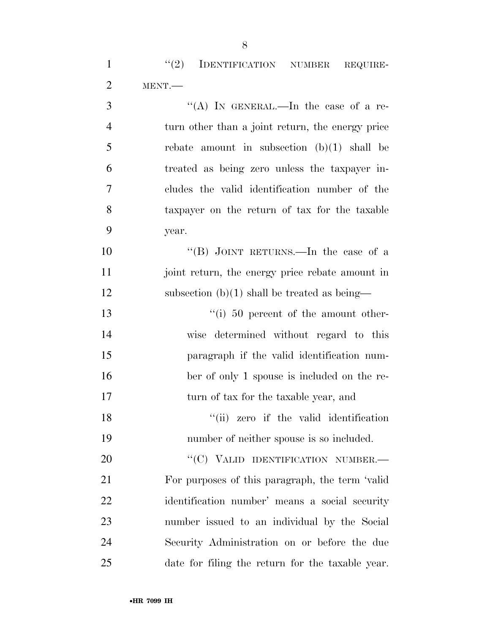| $\overline{4}$ | turn other than a joint return, the energy price |
|----------------|--------------------------------------------------|
| 5              | rebate amount in subsection $(b)(1)$ shall be    |
| 6              | treated as being zero unless the taxpayer in-    |
| $\overline{7}$ | cludes the valid identification number of the    |
| 8              | taxpayer on the return of tax for the taxable    |
| 9              | year.                                            |
| 10             | "(B) JOINT RETURNS.—In the case of a             |
| 11             | joint return, the energy price rebate amount in  |
| 12             | subsection $(b)(1)$ shall be treated as being—   |
| 13             | $\degree$ (i) 50 percent of the amount other-    |
| $\mathbf{1}$   | $\cdots$ . The set of $\cdots$                   |

 wise determined without regard to this paragraph if the valid identification num- ber of only 1 spouse is included on the re-17 turn of tax for the taxable year, and

18 ''(ii) zero if the valid identification number of neither spouse is so included.

20 "(C) VALID IDENTIFICATION NUMBER.— For purposes of this paragraph, the term 'valid identification number' means a social security number issued to an individual by the Social Security Administration on or before the due date for filing the return for the taxable year.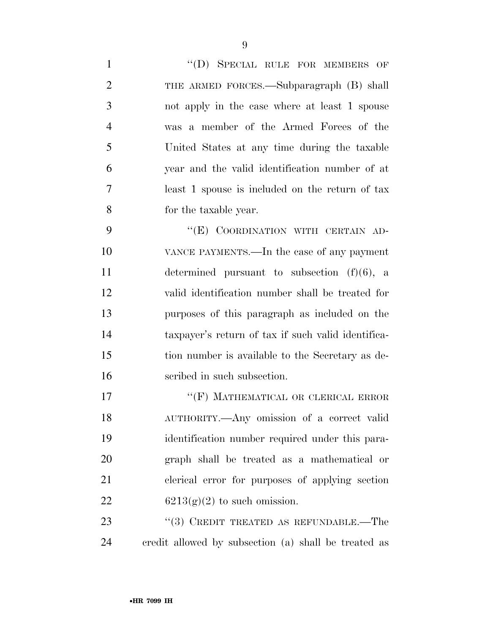| $\mathbf{1}$   | "(D) SPECIAL RULE FOR MEMBERS OF                     |
|----------------|------------------------------------------------------|
| $\overline{2}$ | THE ARMED FORCES.—Subparagraph (B) shall             |
| 3              | not apply in the case where at least 1 spouse        |
| $\overline{4}$ | was a member of the Armed Forces of the              |
| 5              | United States at any time during the taxable         |
| 6              | year and the valid identification number of at       |
| 7              | least 1 spouse is included on the return of tax      |
| 8              | for the taxable year.                                |
| 9              | "(E) COORDINATION WITH CERTAIN AD-                   |
| 10             | VANCE PAYMENTS.—In the case of any payment           |
| 11             | determined pursuant to subsection $(f)(6)$ , a       |
| 12             | valid identification number shall be treated for     |
| 13             | purposes of this paragraph as included on the        |
| 14             | taxpayer's return of tax if such valid identifica-   |
| 15             | tion number is available to the Secretary as de-     |
| 16             | scribed in such subsection.                          |
| 17             | "(F) MATHEMATICAL OR CLERICAL ERROR                  |
| 18             | AUTHORITY.- Any omission of a correct valid          |
| 19             | identification number required under this para-      |
| 20             | graph shall be treated as a mathematical or          |
| 21             | clerical error for purposes of applying section      |
| 22             | $6213(g)(2)$ to such omission.                       |
| 23             | "(3) CREDIT TREATED AS REFUNDABLE.—The               |
| 24             | credit allowed by subsection (a) shall be treated as |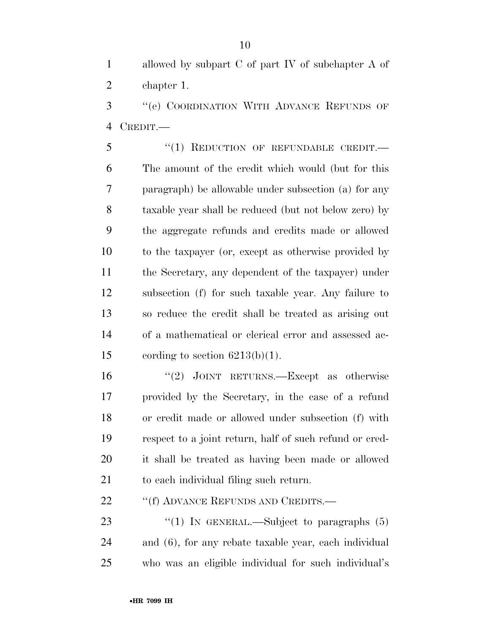allowed by subpart C of part IV of subchapter A of chapter 1.

 ''(e) COORDINATION WITH ADVANCE REFUNDS OF CREDIT.—

5 "(1) REDUCTION OF REFUNDABLE CREDIT. The amount of the credit which would (but for this paragraph) be allowable under subsection (a) for any taxable year shall be reduced (but not below zero) by the aggregate refunds and credits made or allowed to the taxpayer (or, except as otherwise provided by the Secretary, any dependent of the taxpayer) under subsection (f) for such taxable year. Any failure to so reduce the credit shall be treated as arising out of a mathematical or clerical error and assessed ac-15 cording to section  $6213(b)(1)$ .

 ''(2) JOINT RETURNS.—Except as otherwise provided by the Secretary, in the case of a refund or credit made or allowed under subsection (f) with respect to a joint return, half of such refund or cred- it shall be treated as having been made or allowed to each individual filing such return.

22 ""(f) ADVANCE REFUNDS AND CREDITS.—

23  $\frac{1}{2}$  (1) In GENERAL.—Subject to paragraphs (5) and (6), for any rebate taxable year, each individual who was an eligible individual for such individual's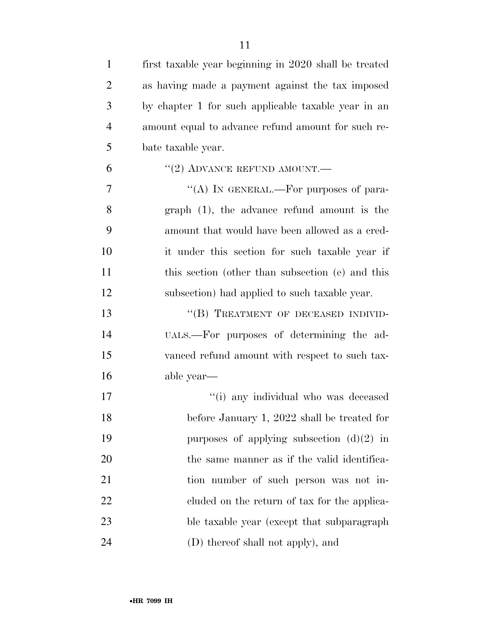| $\mathbf{1}$   | first taxable year beginning in 2020 shall be treated |
|----------------|-------------------------------------------------------|
| $\overline{2}$ | as having made a payment against the tax imposed      |
| 3              | by chapter 1 for such applicable taxable year in an   |
| $\overline{4}$ | amount equal to advance refund amount for such re-    |
| 5              | bate taxable year.                                    |
| 6              | $``(2)$ ADVANCE REFUND AMOUNT.—                       |
| 7              | "(A) IN GENERAL.—For purposes of para-                |
| 8              | $graph$ (1), the advance refund amount is the         |
| 9              | amount that would have been allowed as a cred-        |
| 10             | it under this section for such taxable year if        |
| 11             | this section (other than subsection (e) and this      |
| 12             | subsection) had applied to such taxable year.         |
| 13             | "(B) TREATMENT OF DECEASED INDIVID-                   |
| 14             | UALS.—For purposes of determining the ad-             |
| 15             | vanced refund amount with respect to such tax-        |
| 16             | able year—                                            |
| 17             | "(i) any individual who was deceased                  |
| 18             | before January 1, 2022 shall be treated for           |
| 19             | purposes of applying subsection $(d)(2)$ in           |
| 20             | the same manner as if the valid identifica-           |
| 21             | tion number of such person was not in-                |
| 22             | eluded on the return of tax for the applica-          |
| 23             | ble taxable year (except that subparagraph            |
| 24             | (D) thereof shall not apply), and                     |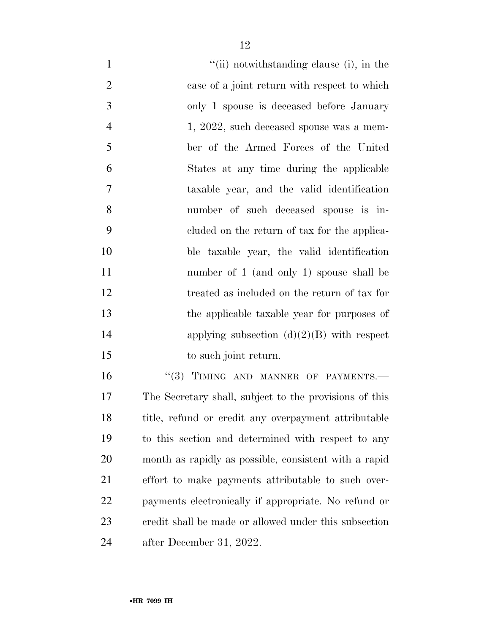| $\mathbf{1}$   | "(ii) notwithstanding clause (i), in the               |
|----------------|--------------------------------------------------------|
| $\overline{2}$ | case of a joint return with respect to which           |
| 3              | only 1 spouse is deceased before January               |
| $\overline{4}$ | 1, 2022, such deceased spouse was a mem-               |
| 5              | ber of the Armed Forces of the United                  |
| 6              | States at any time during the applicable               |
| $\overline{7}$ | taxable year, and the valid identification             |
| 8              | number of such deceased spouse is in-                  |
| 9              | eluded on the return of tax for the applica-           |
| 10             | ble taxable year, the valid identification             |
| 11             | number of 1 (and only 1) spouse shall be               |
| 12             | treated as included on the return of tax for           |
| 13             | the applicable taxable year for purposes of            |
| 14             | applying subsection $(d)(2)(B)$ with respect           |
| 15             | to such joint return.                                  |
| 16             | "(3) TIMING AND MANNER OF PAYMENTS.                    |
| 17             | The Secretary shall, subject to the provisions of this |
| 18             | title, refund or credit any overpayment attributable   |
| 19             | to this section and determined with respect to any     |
| 20             | month as rapidly as possible, consistent with a rapid  |
| 21             | effort to make payments attributable to such over-     |
| 22             | payments electronically if appropriate. No refund or   |
| 23             | credit shall be made or allowed under this subsection  |

after December 31, 2022.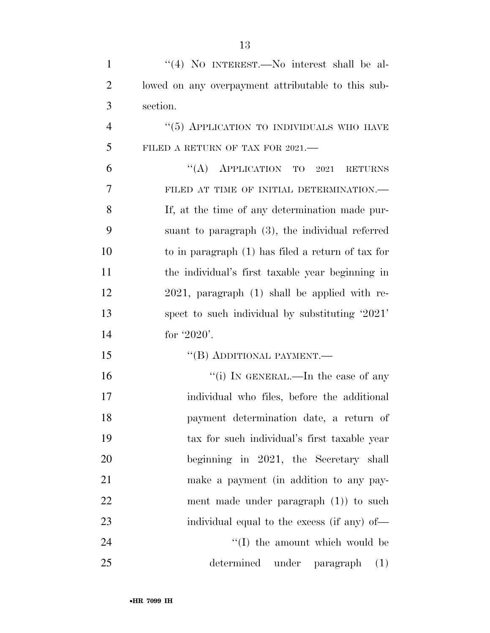| $\mathbf{1}$   | "(4) NO INTEREST.—No interest shall be al-         |
|----------------|----------------------------------------------------|
| $\overline{2}$ | lowed on any overpayment attributable to this sub- |
| 3              | section.                                           |
| $\overline{4}$ | $``(5)$ APPLICATION TO INDIVIDUALS WHO HAVE        |
| 5              | FILED A RETURN OF TAX FOR 2021.—                   |
| 6              | "(A) APPLICATION TO<br>2021<br><b>RETURNS</b>      |
| 7              | FILED AT TIME OF INITIAL DETERMINATION.-           |
| 8              | If, at the time of any determination made pur-     |
| 9              | suant to paragraph $(3)$ , the individual referred |
| 10             | to in paragraph (1) has filed a return of tax for  |
| 11             | the individual's first taxable year beginning in   |
| 12             | $2021$ , paragraph $(1)$ shall be applied with re- |
| 13             | spect to such individual by substituting '2021'    |
| 14             | for $'2020'$ .                                     |
| 15             | "(B) ADDITIONAL PAYMENT.—                          |
| 16             | "(i) IN GENERAL.—In the case of any                |
| 17             | individual who files, before the additional        |
| 18             | payment determination date, a return of            |
| 19             | tax for such individual's first taxable year       |
| 20             | beginning in 2021, the Secretary shall             |
| 21             | make a payment (in addition to any pay-            |
| 22             | ment made under paragraph $(1)$ to such            |
| 23             | individual equal to the excess (if any) of—        |
| 24             | "(I) the amount which would be                     |
| 25             | determined<br>under paragraph<br>(1)               |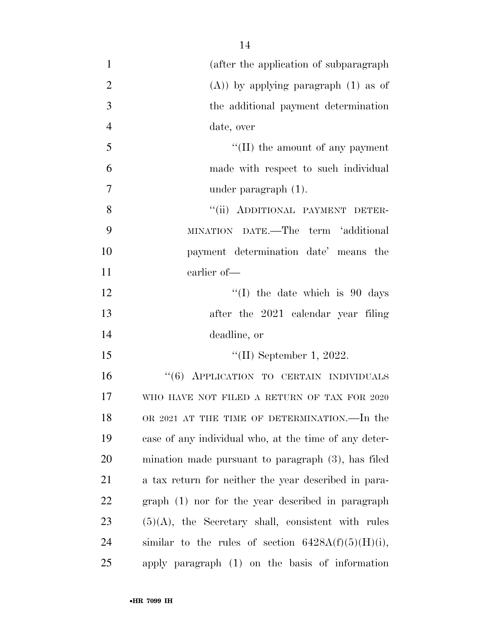| $\mathbf{1}$   | (after the application of subparagraph)               |
|----------------|-------------------------------------------------------|
| $\overline{2}$ | $(A)$ ) by applying paragraph $(1)$ as of             |
| 3              | the additional payment determination                  |
| $\overline{4}$ | date, over                                            |
| 5              | $\lq\lq$ (II) the amount of any payment               |
| 6              | made with respect to such individual                  |
| 7              | under paragraph $(1)$ .                               |
| 8              | "(ii) ADDITIONAL PAYMENT DETER-                       |
| 9              | MINATION DATE.—The term 'additional                   |
| 10             | payment determination date' means the                 |
| 11             | earlier of-                                           |
| 12             | $\lq(1)$ the date which is 90 days                    |
| 13             | after the 2021 calendar year filing                   |
| 14             | deadline, or                                          |
| 15             | "(II) September 1, 2022.                              |
| 16             | "(6) APPLICATION TO CERTAIN INDIVIDUALS               |
| 17             | WHO HAVE NOT FILED A RETURN OF TAX FOR 2020           |
| 18             | OR 2021 AT THE TIME OF DETERMINATION.—In the          |
| 19             | case of any individual who, at the time of any deter- |
| 20             | mination made pursuant to paragraph $(3)$ , has filed |
| 21             | a tax return for neither the year described in para-  |
| 22             | graph (1) nor for the year described in paragraph     |
| 23             | $(5)(A)$ , the Secretary shall, consistent with rules |
| 24             | similar to the rules of section $6428A(f)(5)(H)(i)$ , |
| 25             | apply paragraph (1) on the basis of information       |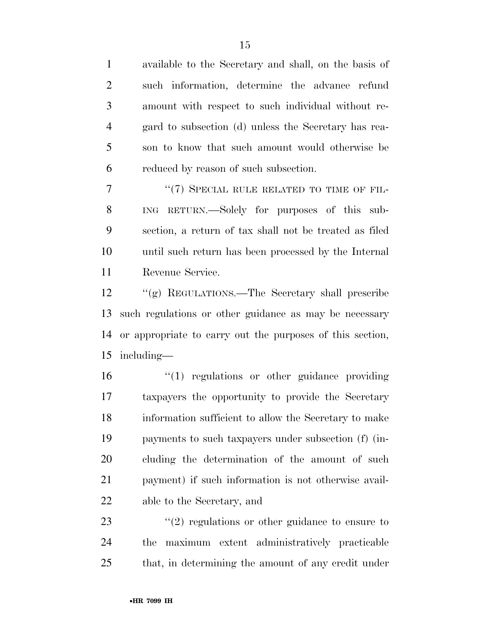available to the Secretary and shall, on the basis of such information, determine the advance refund amount with respect to such individual without re- gard to subsection (d) unless the Secretary has rea- son to know that such amount would otherwise be reduced by reason of such subsection.

7 "(7) SPECIAL RULE RELATED TO TIME OF FIL- ING RETURN.—Solely for purposes of this sub- section, a return of tax shall not be treated as filed until such return has been processed by the Internal Revenue Service.

 ''(g) REGULATIONS.—The Secretary shall prescribe such regulations or other guidance as may be necessary or appropriate to carry out the purposes of this section, including—

 $\frac{1}{2}$  (1) regulations or other guidance providing taxpayers the opportunity to provide the Secretary information sufficient to allow the Secretary to make payments to such taxpayers under subsection (f) (in- cluding the determination of the amount of such payment) if such information is not otherwise avail-able to the Secretary, and

23 ''(2) regulations or other guidance to ensure to the maximum extent administratively practicable that, in determining the amount of any credit under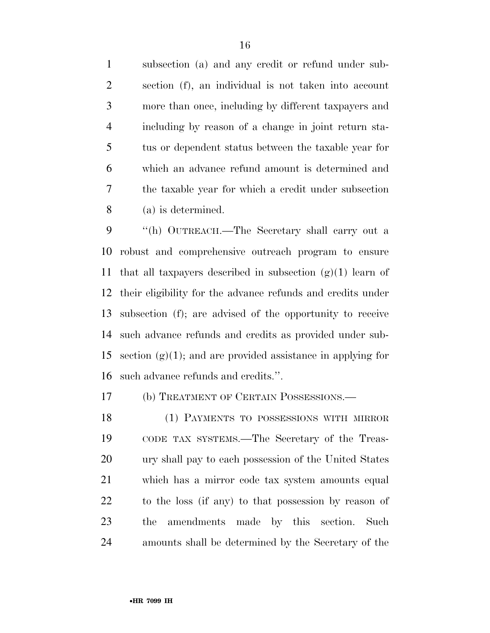subsection (a) and any credit or refund under sub- section (f), an individual is not taken into account more than once, including by different taxpayers and including by reason of a change in joint return sta- tus or dependent status between the taxable year for which an advance refund amount is determined and the taxable year for which a credit under subsection (a) is determined.

 ''(h) OUTREACH.—The Secretary shall carry out a robust and comprehensive outreach program to ensure 11 that all taxpayers described in subsection  $(g)(1)$  learn of their eligibility for the advance refunds and credits under subsection (f); are advised of the opportunity to receive such advance refunds and credits as provided under sub-15 section  $(g)(1)$ ; and are provided assistance in applying for such advance refunds and credits.''.

(b) TREATMENT OF CERTAIN POSSESSIONS.—

 (1) PAYMENTS TO POSSESSIONS WITH MIRROR CODE TAX SYSTEMS.—The Secretary of the Treas- ury shall pay to each possession of the United States which has a mirror code tax system amounts equal to the loss (if any) to that possession by reason of the amendments made by this section. Such amounts shall be determined by the Secretary of the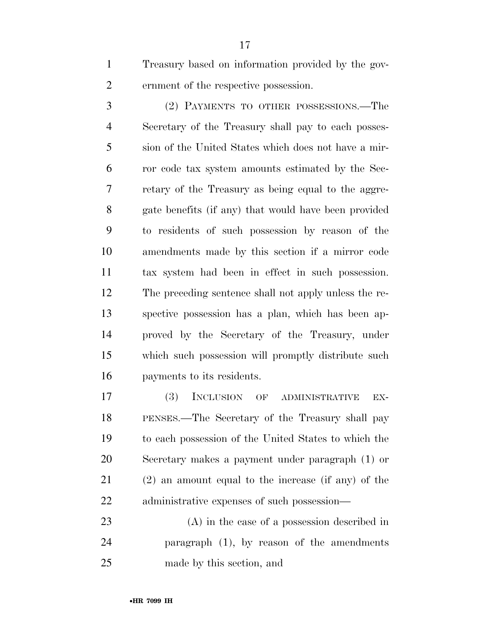Treasury based on information provided by the gov-ernment of the respective possession.

 (2) PAYMENTS TO OTHER POSSESSIONS.—The Secretary of the Treasury shall pay to each posses- sion of the United States which does not have a mir- ror code tax system amounts estimated by the Sec- retary of the Treasury as being equal to the aggre- gate benefits (if any) that would have been provided to residents of such possession by reason of the amendments made by this section if a mirror code tax system had been in effect in such possession. The preceding sentence shall not apply unless the re- spective possession has a plan, which has been ap- proved by the Secretary of the Treasury, under which such possession will promptly distribute such payments to its residents.

 (3) INCLUSION OF ADMINISTRATIVE EX- PENSES.—The Secretary of the Treasury shall pay to each possession of the United States to which the Secretary makes a payment under paragraph (1) or (2) an amount equal to the increase (if any) of the administrative expenses of such possession—

 (A) in the case of a possession described in paragraph (1), by reason of the amendments made by this section, and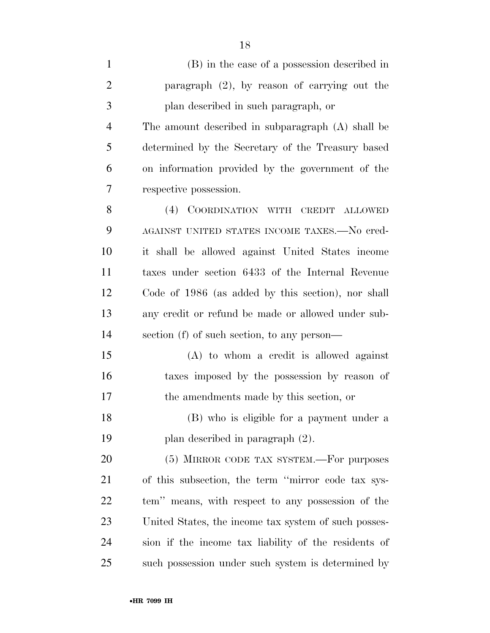| $\mathbf{1}$   | (B) in the case of a possession described in         |
|----------------|------------------------------------------------------|
| $\overline{2}$ | paragraph $(2)$ , by reason of carrying out the      |
| 3              | plan described in such paragraph, or                 |
| $\overline{4}$ | The amount described in subparagraph (A) shall be    |
| 5              | determined by the Secretary of the Treasury based    |
| 6              | on information provided by the government of the     |
| 7              | respective possession.                               |
| 8              | (4) COORDINATION WITH CREDIT ALLOWED                 |
| 9              | AGAINST UNITED STATES INCOME TAXES.—No cred-         |
| 10             | it shall be allowed against United States income     |
| 11             | taxes under section 6433 of the Internal Revenue     |
| 12             | Code of 1986 (as added by this section), nor shall   |
| 13             | any credit or refund be made or allowed under sub-   |
| 14             | section (f) of such section, to any person—          |
| 15             | $(A)$ to whom a credit is allowed against            |
| 16             | taxes imposed by the possession by reason of         |
| 17             | the amendments made by this section, or              |
| 18             | (B) who is eligible for a payment under a            |
| 19             | plan described in paragraph $(2)$ .                  |
| 20             | (5) MIRROR CODE TAX SYSTEM.—For purposes             |
| 21             | of this subsection, the term "mirror code tax sys-   |
| 22             | tem" means, with respect to any possession of the    |
| 23             | United States, the income tax system of such posses- |
| 24             | sion if the income tax liability of the residents of |
| 25             | such possession under such system is determined by   |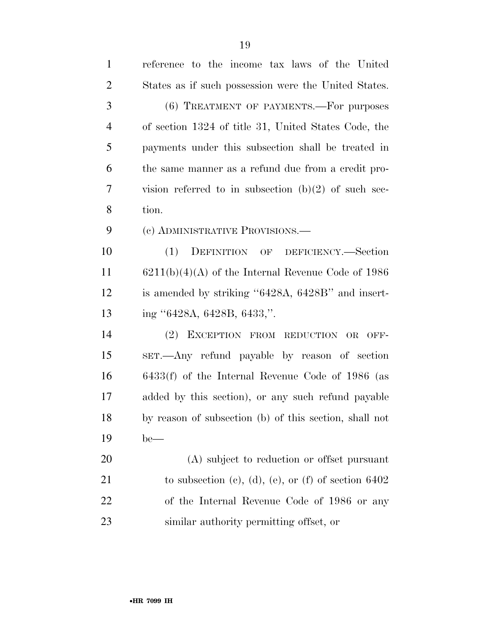| $\mathbf{1}$   | reference to the income tax laws of the United         |
|----------------|--------------------------------------------------------|
| $\overline{2}$ | States as if such possession were the United States.   |
| 3              | (6) TREATMENT OF PAYMENTS. For purposes                |
| $\overline{4}$ | of section 1324 of title 31, United States Code, the   |
| 5              | payments under this subsection shall be treated in     |
| 6              | the same manner as a refund due from a credit pro-     |
| 7              | vision referred to in subsection $(b)(2)$ of such sec- |
| 8              | tion.                                                  |
| 9              | (c) ADMINISTRATIVE PROVISIONS.—                        |
| 10             | DEFINITION OF DEFICIENCY.—Section<br>(1)               |
| 11             | $6211(b)(4)(A)$ of the Internal Revenue Code of 1986   |
| 12             | is amended by striking "6428A, 6428B" and insert-      |
| 13             | ing "6428A, 6428B, 6433,".                             |
| 14             | EXCEPTION FROM REDUCTION OR<br>(2)<br>OFF-             |
| 15             | SET.—Any refund payable by reason of section           |
| 16             | $6433(f)$ of the Internal Revenue Code of 1986 (as     |
| 17             | added by this section), or any such refund payable     |
| 18             | by reason of subsection (b) of this section, shall not |
| 19             | $be$ —                                                 |
| 20             | (A) subject to reduction or offset pursuant            |
| 21             | to subsection (c), (d), (e), or (f) of section $6402$  |
| 22             | of the Internal Revenue Code of 1986 or any            |
| 23             | similar authority permitting offset, or                |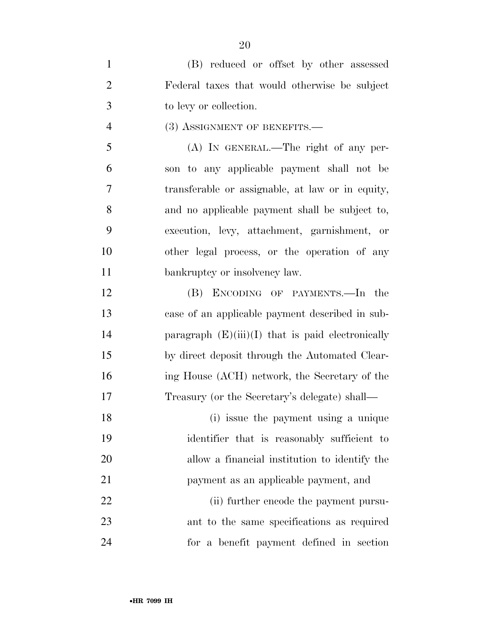| $\mathbf{1}$   | (B) reduced or offset by other assessed             |
|----------------|-----------------------------------------------------|
| $\overline{2}$ | Federal taxes that would otherwise be subject       |
| 3              | to levy or collection.                              |
| $\overline{4}$ | (3) ASSIGNMENT OF BENEFITS.—                        |
| 5              | (A) IN GENERAL.—The right of any per-               |
| 6              | son to any applicable payment shall not be          |
| 7              | transferable or assignable, at law or in equity,    |
| 8              | and no applicable payment shall be subject to,      |
| 9              | execution, levy, attachment, garnishment, or        |
| 10             | other legal process, or the operation of any        |
| 11             | bankruptcy or insolvency law.                       |
| 12             | (B) ENCODING OF PAYMENTS.—In the                    |
| 13             | case of an applicable payment described in sub-     |
| 14             | paragraph $(E)(iii)(I)$ that is paid electronically |
| 15             | by direct deposit through the Automated Clear-      |
| 16             | ing House (ACH) network, the Secretary of the       |
| 17             | Treasury (or the Secretary's delegate) shall—       |
| 18             | (i) issue the payment using a unique                |
| 19             | identifier that is reasonably sufficient to         |
| 20             | allow a financial institution to identify the       |
| 21             | payment as an applicable payment, and               |
| 22             | (ii) further encode the payment pursu-              |
| 23             | ant to the same specifications as required          |
| 24             | for a benefit payment defined in section            |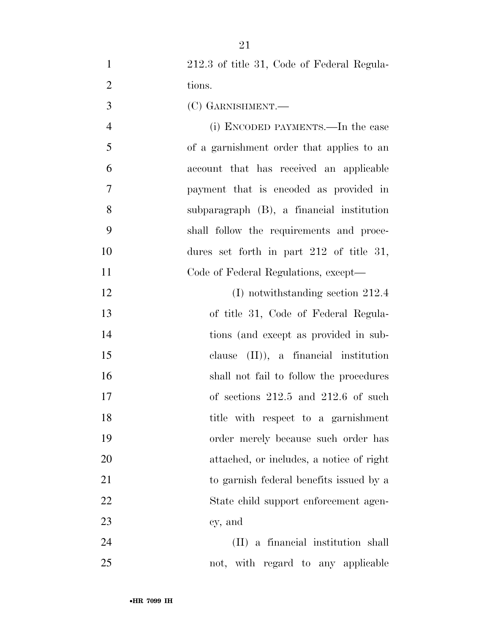| $\mathbf{1}$   | 212.3 of title 31, Code of Federal Regula- |
|----------------|--------------------------------------------|
| $\overline{2}$ | tions.                                     |
| 3              | (C) GARNISHMENT.—                          |
| $\overline{4}$ | (i) ENCODED PAYMENTS.—In the case          |
| 5              | of a garnishment order that applies to an  |
| 6              | account that has received an applicable    |
| 7              | payment that is encoded as provided in     |
| 8              | subparagraph (B), a financial institution  |
| 9              | shall follow the requirements and proce-   |
| 10             | dures set forth in part $212$ of title 31, |
| 11             | Code of Federal Regulations, except—       |
| 12             | $(I)$ notwithstanding section 212.4        |
| 13             | of title 31, Code of Federal Regula-       |
| 14             | tions (and except as provided in sub-      |
| 15             | clause $(II)$ , a financial institution    |
| 16             | shall not fail to follow the procedures    |
| 17             | of sections $212.5$ and $212.6$ of such    |
| 18             | title with respect to a garnishment        |
| 19             | order merely because such order has        |
| 20             | attached, or includes, a notice of right   |
| 21             | to garnish federal benefits issued by a    |
| 22             | State child support enforcement agen-      |
| 23             | cy, and                                    |
| 24             | (II) a financial institution shall         |
| 25             | not, with regard to any applicable         |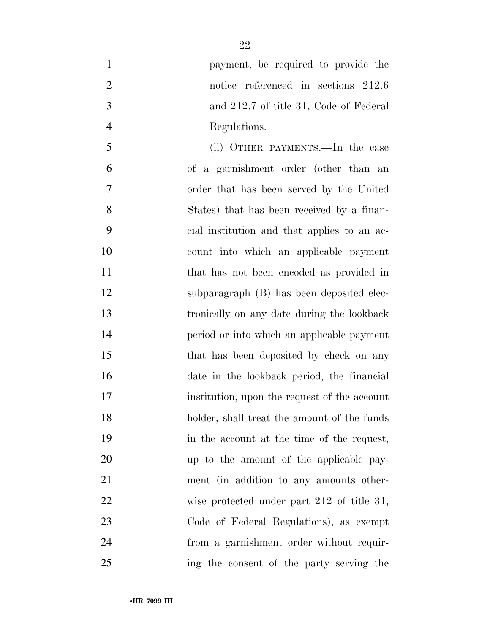| $\mathbf{1}$   | payment, be required to provide the          |
|----------------|----------------------------------------------|
| $\overline{2}$ | notice referenced in sections 212.6          |
| 3              | and 212.7 of title 31, Code of Federal       |
| $\overline{4}$ | Regulations.                                 |
| 5              | (ii) OTHER PAYMENTS.—In the case             |
| 6              | of a garnishment order (other than an        |
| 7              | order that has been served by the United     |
| 8              | States) that has been received by a finan-   |
| 9              | cial institution and that applies to an ac-  |
| 10             | count into which an applicable payment       |
| 11             | that has not been encoded as provided in     |
| 12             | subparagraph (B) has been deposited elec-    |
| 13             | tronically on any date during the lookback   |
| 14             | period or into which an applicable payment   |
| 15             | that has been deposited by check on any      |
| 16             | date in the lookback period, the financial   |
| 17             | institution, upon the request of the account |
| 18             | holder, shall treat the amount of the funds  |
| 19             | in the account at the time of the request,   |
| 20             | up to the amount of the applicable pay-      |
| 21             | ment (in addition to any amounts other-      |
| 22             | wise protected under part 212 of title 31,   |
| 23             | Code of Federal Regulations), as exempt      |
| 24             | from a garnishment order without requir-     |
| 25             | ing the consent of the party serving the     |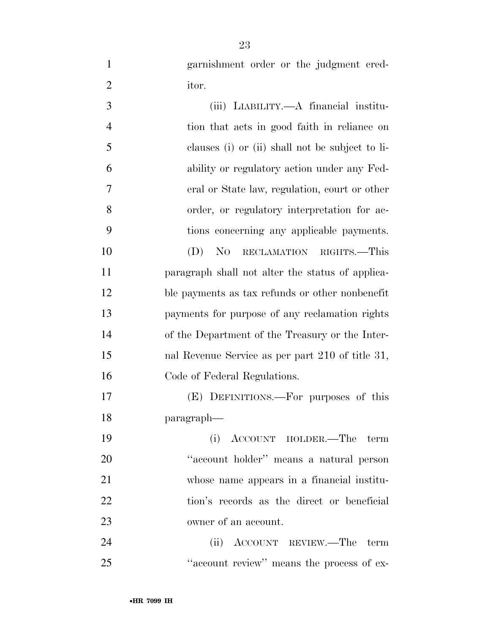garnishment order or the judgment cred-itor.

| 3              | (iii) LIABILITY.—A financial institu-            |
|----------------|--------------------------------------------------|
| $\overline{4}$ | tion that acts in good faith in reliance on      |
| 5              | clauses (i) or (ii) shall not be subject to li-  |
| 6              | ability or regulatory action under any Fed-      |
| 7              | eral or State law, regulation, court or other    |
| 8              | order, or regulatory interpretation for ac-      |
| 9              | tions concerning any applicable payments.        |
| 10             | $(D)$ No<br>RECLAMATION RIGHTS.-This             |
| 11             | paragraph shall not alter the status of applica- |
| 12             | ble payments as tax refunds or other nonbenefit  |
| 13             | payments for purpose of any reclamation rights   |
| 14             | of the Department of the Treasury or the Inter-  |
| 15             | nal Revenue Service as per part 210 of title 31, |
| 16             | Code of Federal Regulations.                     |
| 17             | (E) DEFINITIONS.—For purposes of this            |
| 18             | paragraph—                                       |
| 19             | (i) ACCOUNT HOLDER.—The<br>term                  |
| 20             | "account holder" means a natural person          |
| 21             | whose name appears in a financial institu-       |
| 22             | tion's records as the direct or beneficial       |
| 23             | owner of an account.                             |
| 24             | (ii) ACCOUNT REVIEW.—The term                    |
|                |                                                  |

25 ''account review'' means the process of ex-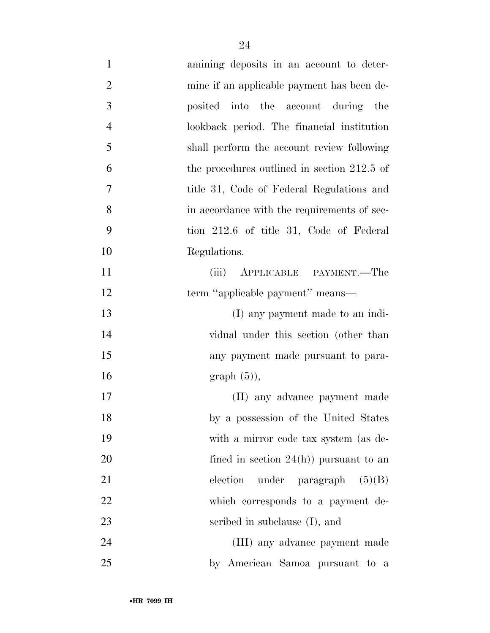| $\mathbf{1}$   | amining deposits in an account to deter-    |
|----------------|---------------------------------------------|
| $\overline{2}$ | mine if an applicable payment has been de-  |
| 3              | posited into the account during the         |
| $\overline{4}$ | lookback period. The financial institution  |
| 5              | shall perform the account review following  |
| 6              | the procedures outlined in section 212.5 of |
| 7              | title 31, Code of Federal Regulations and   |
| 8              | in accordance with the requirements of sec- |
| 9              | tion 212.6 of title 31, Code of Federal     |
| 10             | Regulations.                                |
| 11             | APPLICABLE PAYMENT.—The<br>(iii)            |
| 12             | term "applicable payment" means—            |
| 13             | (I) any payment made to an indi-            |
| 14             | vidual under this section (other than       |
| 15             | any payment made pursuant to para-          |
| 16             | $graph(5)$ ,                                |
| 17             | (II) any advance payment made               |
| 18             | by a possession of the United States        |
| 19             | with a mirror code tax system (as de-       |
| 20             | fined in section $24(h)$ pursuant to an     |
| 21             | under paragraph $(5)(B)$<br>election        |
| 22             | which corresponds to a payment de-          |
| 23             | scribed in subclause (I), and               |
| 24             | (III) any advance payment made              |
| 25             | by American Samoa pursuant to a             |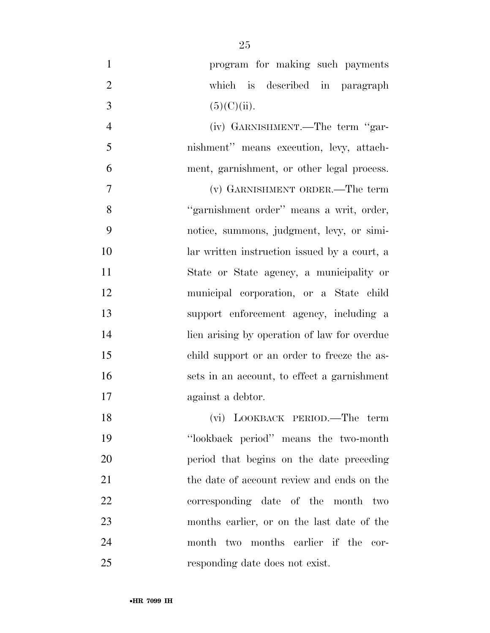| $\mathbf{1}$   | program for making such payments             |
|----------------|----------------------------------------------|
| $\overline{2}$ | which is described in paragraph              |
| 3              | (5)(C)(ii).                                  |
| $\overline{4}$ | (iv) GARNISHMENT.—The term "gar-             |
| 5              | nishment" means execution, levy, attach-     |
| 6              | ment, garnishment, or other legal process.   |
| 7              | (v) GARNISHMENT ORDER.—The term              |
| 8              | "garnishment order" means a writ, order,     |
| 9              | notice, summons, judgment, levy, or simi-    |
| 10             | lar written instruction issued by a court, a |
| 11             | State or State agency, a municipality or     |
| 12             | municipal corporation, or a State child      |
| 13             | support enforcement agency, including a      |
| 14             | lien arising by operation of law for overdue |
| 15             | child support or an order to freeze the as-  |
| 16             | sets in an account, to effect a garnishment  |
| 17             | against a debtor.                            |
| 18             | (vi) LOOKBACK PERIOD.—The term               |
| 19             | "lookback period" means the two-month        |
| 20             | period that begins on the date preceding     |
| 21             | the date of account review and ends on the   |
| 22             | corresponding date of the month two          |
| 23             | months earlier, or on the last date of the   |
| 24             | month two months earlier if the cor-         |
| 25             | responding date does not exist.              |